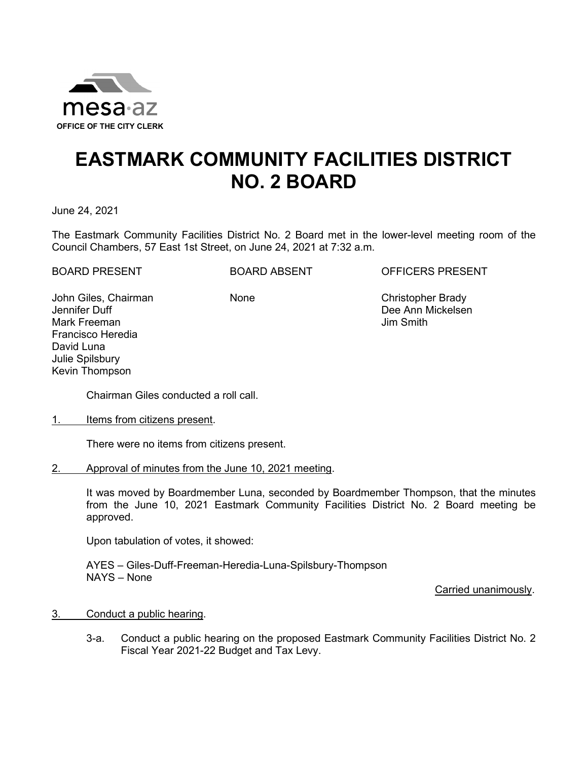

## **EASTMARK COMMUNITY FACILITIES DISTRICT NO. 2 BOARD**

June 24, 2021

The Eastmark Community Facilities District No. 2 Board met in the lower-level meeting room of the Council Chambers, 57 East 1st Street, on June 24, 2021 at 7:32 a.m.

BOARD PRESENT BOARD ABSENT OFFICERS PRESENT

John Giles, Chairman Jennifer Duff Mark Freeman Francisco Heredia David Luna Julie Spilsbury Kevin Thompson

None Christopher Brady Dee Ann Mickelsen Jim Smith

Chairman Giles conducted a roll call.

1. Items from citizens present.

There were no items from citizens present.

2. Approval of minutes from the June 10, 2021 meeting.

It was moved by Boardmember Luna, seconded by Boardmember Thompson, that the minutes from the June 10, 2021 Eastmark Community Facilities District No. 2 Board meeting be approved.

Upon tabulation of votes, it showed:

AYES – Giles-Duff-Freeman-Heredia-Luna-Spilsbury-Thompson NAYS – None

Carried unanimously.

## 3. Conduct a public hearing.

3-a. Conduct a public hearing on the proposed Eastmark Community Facilities District No. 2 Fiscal Year 2021-22 Budget and Tax Levy.